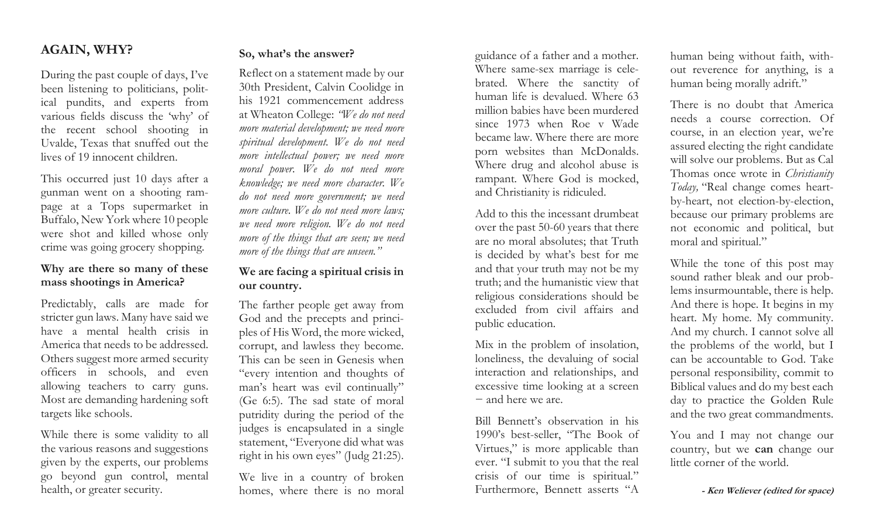## AGAIN, WHY?

During the past couple of days, I've been listening to politicians, political pundits, and experts from various fields discuss the 'why' of the recent school shooting in Uvalde, Texas that snuffed out the lives of 19 innocent children.

This occurred just 10 days after a gunman went on a shooting rampage at a Tops supermarket in Buffalo, New York where 10 people were shot and killed whose only crime was going grocery shopping.

## Why are there so many of these mass shootings in America?

Predictably, calls are made for stricter gun laws. Many have said we have a mental health crisis in America that needs to be addressed. Others suggest more armed security officers in schools, and even allowing teachers to carry guns. Most are demanding hardening soft targets like schools.

While there is some validity to all the various reasons and suggestions given by the experts, our problems go beyond gun control, mental health, or greater security.

### So, what's the answer?

Reflect on a statement made by our 30th President, Calvin Coolidge in his 1921 commencement address at Wheaton College: "We do not need more material development; we need more spiritual development. We do not need more intellectual power; we need more moral power. We do not need more knowledge; we need more character. We do not need more government; we need more culture. We do not need more laws: we need more religion. We do not need more of the things that are seen; we need more of the things that are unseen."

## We are facing a spiritual crisis in our country.

The farther people get away from God and the precepts and principles of His Word, the more wicked, corrupt, and lawless they become. This can be seen in Genesis when "every intention and thoughts of man's heart was evil continually" (Ge 6:5). The sad state of moral putridity during the period of the judges is encapsulated in a single statement, "Everyone did what was right in his own eyes" (Judg 21:25).

We live in a country of broken homes, where there is no moral guidance of a father and a mother. Where same-sex marriage is celebrated. Where the sanctity of human life is devalued. Where 63 million babies have been murdered since 1973 when Roe v Wade became law. Where there are more porn websites than McDonalds. Where drug and alcohol abuse is rampant. Where God is mocked, and Christianity is ridiculed.

Add to this the incessant drumbeat over the past 50-60 years that there are no moral absolutes; that Truth is decided by what's best for me and that your truth may not be my truth; and the humanistic view that religious considerations should be excluded from civil affairs and public education.

Mix in the problem of insolation, loneliness, the devaluing of social interaction and relationships, and excessive time looking at a screen − and here we are.

Bill Bennett's observation in his 1990's best-seller, "The Book of Virtues," is more applicable than ever. "I submit to you that the real crisis of our time is spiritual." Furthermore, Bennett asserts "A

human being without faith, without reverence for anything, is a human being morally adrift."

There is no doubt that America needs a course correction. Of course, in an election year, we're assured electing the right candidate will solve our problems. But as Cal Thomas once wrote in *Christianity* Today, "Real change comes heartby-heart, not election-by-election, because our primary problems are not economic and political, but moral and spiritual."

While the tone of this post may sound rather bleak and our problems insurmountable, there is help. And there is hope. It begins in my heart. My home. My community. And my church. I cannot solve all the problems of the world, but I can be accountable to God. Take personal responsibility, commit to Biblical values and do my best each day to practice the Golden Rule and the two great commandments.

You and I may not change our country, but we can change our little corner of the world.

- Ken Weliever (edited for space)